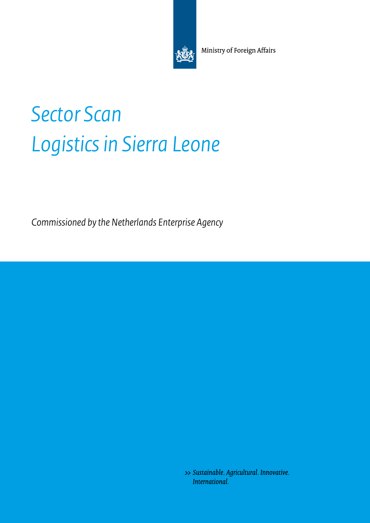Ministry of Foreign Affairs

# *Sector Scan Logistics in Sierra Leone*

*Commissioned by the Netherlands Enterprise Agency* 

>> Sustainable. Agricultural. Innovative. International.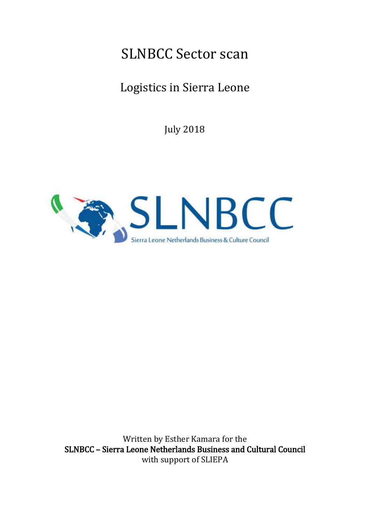# SLNBCC Sector scan

# Logistics in Sierra Leone

July 2018



 SLNBCC – Sierra Leone Netherlands Business and Cultural Council Written by Esther Kamara for the with support of SLIEPA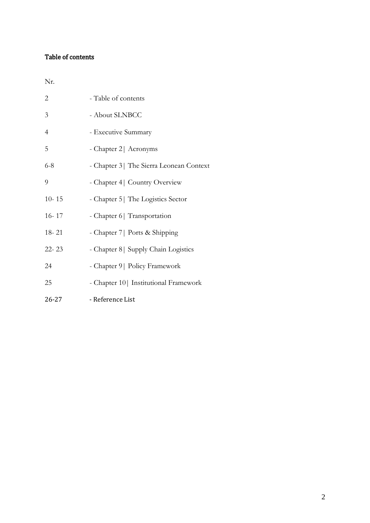# Table of contents

Nr.

| $\overline{2}$ | - Table of contents                      |
|----------------|------------------------------------------|
| 3              | - About SLNBCC                           |
| $\overline{4}$ | - Executive Summary                      |
| 5              | - Chapter 2   Acronyms                   |
| $6 - 8$        | - Chapter 3   The Sierra Leonean Context |
| 9              | - Chapter 4   Country Overview           |
| $10 - 15$      | - Chapter 5   The Logistics Sector       |
| $16 - 17$      | - Chapter 6   Transportation             |
| $18 - 21$      | - Chapter 7   Ports & Shipping           |
| $22 - 23$      | - Chapter 8   Supply Chain Logistics     |
| 24             | - Chapter 9   Policy Framework           |
| 25             | - Chapter 10   Institutional Framework   |
| $26 - 27$      | - Reference List                         |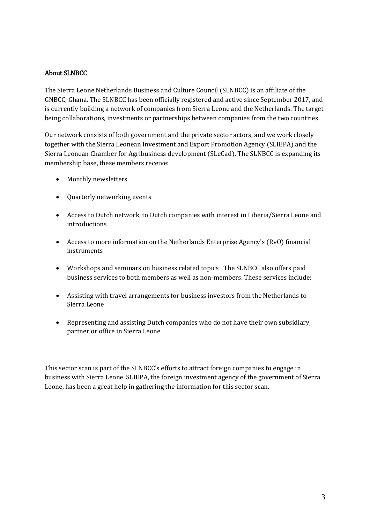# About SLNBCC

The Sierra Leone Netherlands Business and Culture Council (SLNBCC) is an affiliate of the GNBCC, Ghana. The SLNBCC has been officially registered and active since September 2017, and is currently building a network of companies from Sierra Leone and the Netherlands. The target being collaborations, investments or partnerships between companies from the two countries.

Our network consists of both government and the private sector actors, and we work closely together with the Sierra Leonean Investment and Export Promotion Agency (SLIEPA) and the Sierra Leonean Chamber for Agribusiness development (SLeCad). The SLNBCC is expanding its membership base, these members receive:

- Monthly newsletters
- Quarterly networking events
- Access to Dutch network, to Dutch companies with interest in Liberia/Sierra Leone and introductions
- Access to more information on the Netherlands Enterprise Agency's (RvO) financial instruments
- Workshops and seminars on business related topics The SLNBCC also offers paid business services to both members as well as non-members. These services include:
- Assisting with travel arrangements for business investors from the Netherlands to Sierra Leone
- Representing and assisting Dutch companies who do not have their own subsidiary, partner or office in Sierra Leone

This sector scan is part of the SLNBCC's efforts to attract foreign companies to engage in business with Sierra Leone. SLIEPA, the foreign investment agency of the government of Sierra Leone, has been a great help in gathering the information for this sector scan.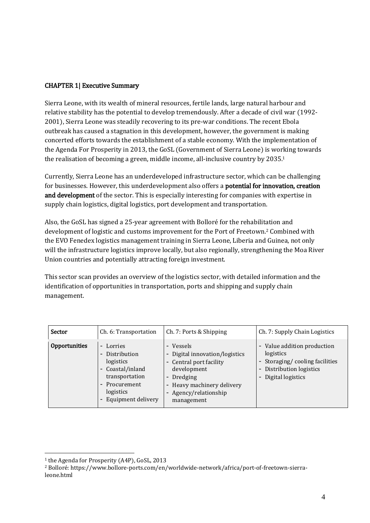## CHAPTER 1| Executive Summary

 outbreak has caused a stagnation in this development, however, the government is making Sierra Leone, with its wealth of mineral resources, fertile lands, large natural harbour and relative stability has the potential to develop tremendously. After a decade of civil war (1992- 2001), Sierra Leone was steadily recovering to its pre-war conditions. The recent Ebola concerted efforts towards the establishment of a stable economy. With the implementation of the Agenda For Prosperity in 2013, the GoSL (Government of Sierra Leone) is working towards the realisation of becoming a green, middle income, all-inclusive country by 2035.1

Currently, Sierra Leone has an underdeveloped infrastructure sector, which can be challenging for businesses. However, this underdevelopment also offers a **potential for innovation, creation** and development of the sector. This is especially interesting for companies with expertise in supply chain logistics, digital logistics, port development and transportation.

Also, the GoSL has signed a 25-year agreement with Bolloré for the rehabilitation and development of logistic and customs improvement for the Port of Freetown.2 Combined with the EVO Fenedex logistics management training in Sierra Leone, Liberia and Guinea, not only will the infrastructure logistics improve locally, but also regionally, strengthening the Moa River Union countries and potentially attracting foreign investment.

This sector scan provides an overview of the logistics sector, with detailed information and the identification of opportunities in transportation, ports and shipping and supply chain management.

| <b>Sector</b> | Ch. 6: Transportation                                                                                                                                                        | Ch. 7: Ports & Shipping                                                                                                                                            | Ch. 7: Supply Chain Logistics                                                                                               |
|---------------|------------------------------------------------------------------------------------------------------------------------------------------------------------------------------|--------------------------------------------------------------------------------------------------------------------------------------------------------------------|-----------------------------------------------------------------------------------------------------------------------------|
| Opportunities | Lorries<br>$\equiv$<br>Distribution<br>logistics<br>Coastal/inland<br>$\overline{\phantom{a}}$<br>transportation<br>Procurement<br>$\sim$<br>logistics<br>Equipment delivery | - Vessels<br>Digital innovation/logistics<br>- Central port facility<br>development<br>- Dredging<br>Heavy machinery delivery<br>Agency/relationship<br>management | - Value addition production<br>logistics<br>- Storaging/cooling facilities<br>- Distribution logistics<br>Digital logistics |

 1 the Agenda for Prosperity (A4P), GoSL, 2013

<sup>2</sup> Bolloré: https://www.bollore-ports.com/en/worldwide-network/africa/port-of-freetown-sierraleone.html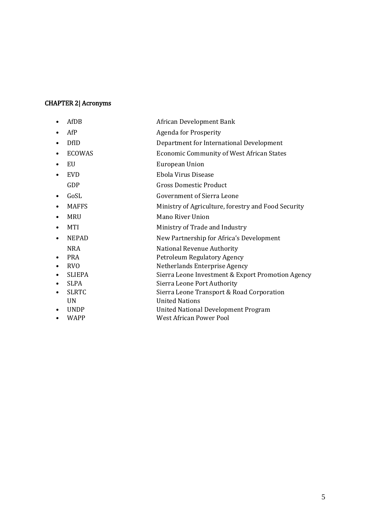#### CHAPTER 2| Acronyms

- AfDB African Development Bank
- AfP Agenda for Prosperity
- DfID Department for International Development
- ECOWAS Economic Community of West African States
- EU European Union
- EVD Ebola Virus Disease
- GDP Gross Domestic Product
- GoSL Government of Sierra Leone
- MAFFS Ministry of Agriculture, forestry and Food Security
- MRU Mano River Union
- MTI Ministry of Trade and Industry
- NEPAD New Partnership for Africa's Development
- NRA National Revenue Authority
- PRA Petroleum Regulatory Agency
- RVO Netherlands Enterprise Agency
- SLIEPA Sierra Leone Investment & Export Promotion Agency
- SLPA Sierra Leone Port Authority
- SLRTC Sierra Leone Transport & Road Corporation
	- UN United Nations
- UNDP United National Development Program
- WAPP West African Power Pool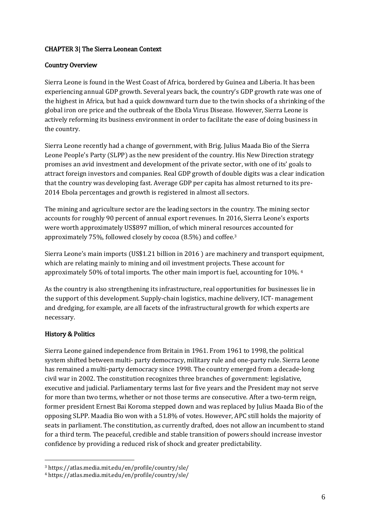# CHAPTER 3| The Sierra Leonean Context

#### Country Overview

Sierra Leone is found in the West Coast of Africa, bordered by Guinea and Liberia. It has been experiencing annual GDP growth. Several years back, the country's GDP growth rate was one of the highest in Africa, but had a quick downward turn due to the twin shocks of a shrinking of the global iron ore price and the outbreak of the Ebola Virus Disease. However, Sierra Leone is actively reforming its business environment in order to facilitate the ease of doing business in the country.

Sierra Leone recently had a change of government, with Brig. Julius Maada Bio of the Sierra Leone People's Party (SLPP) as the new president of the country. His New Direction strategy promises an avid investment and development of the private sector, with one of its' goals to attract foreign investors and companies. Real GDP growth of double digits was a clear indication that the country was developing fast. Average GDP per capita has almost returned to its pre-2014 Ebola percentages and growth is registered in almost all sectors.

The mining and agriculture sector are the leading sectors in the country. The mining sector accounts for roughly 90 percent of annual export revenues. In 2016, Sierra Leone's exports were worth approximately US\$897 million, of which mineral resources accounted for approximately 75%, followed closely by cocoa (8.5%) and coffee.3

Sierra Leone's main imports (US\$1.21 billion in 2016 ) are machinery and transport equipment, which are relating mainly to mining and oil investment projects. These account for approximately 50% of total imports. The other main import is fuel, accounting for 10%. 4

 As the country is also strengthening its infrastructure, real opportunities for businesses lie in the support of this development. Supply-chain logistics, machine delivery, ICT- management and dredging, for example, are all facets of the infrastructural growth for which experts are necessary.

# History & Politics

 $\overline{a}$ 

Sierra Leone gained independence from Britain in 1961. From 1961 to 1998, the political system shifted between multi- party democracy, military rule and one-party rule. Sierra Leone has remained a multi-party democracy since 1998. The country emerged from a decade-long civil war in 2002. The constitution recognizes three branches of government: legislative, executive and judicial. Parliamentary terms last for five years and the President may not serve for more than two terms, whether or not those terms are consecutive. After a two-term reign, former president Ernest Bai Koroma stepped down and was replaced by Julius Maada Bio of the opposing SLPP. Maadia Bio won with a 51.8% of votes. However, APC still holds the majority of seats in parliament. The constitution, as currently drafted, does not allow an incumbent to stand for a third term. The peaceful, credible and stable transition of powers should increase investor confidence by providing a reduced risk of shock and greater predictability.

<sup>3</sup> https://atlas.media.mit.edu/en/profile/country/sle/

<sup>4</sup> https://atlas.media.mit.edu/en/profile/country/sle/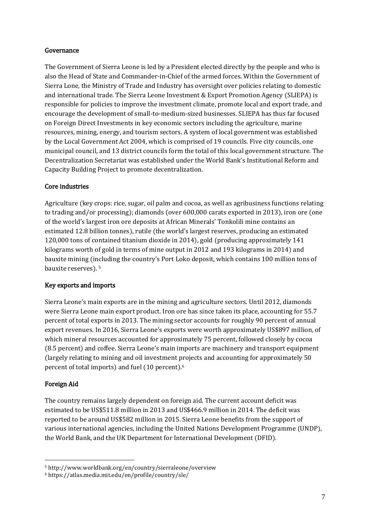#### Governance

The Government of Sierra Leone is led by a President elected directly by the people and who is also the Head of State and Commander-in-Chief of the armed forces. Within the Government of Sierra Lone, the Ministry of Trade and Industry has oversight over policies relating to domestic and international trade. The Sierra Leone Investment & Export Promotion Agency (SLIEPA) is responsible for policies to improve the investment climate, promote local and export trade, and encourage the development of small-to-medium-sized businesses. SLIEPA has thus far focused on Foreign Direct Investments in key economic sectors including the agriculture, marine resources, mining, energy, and tourism sectors. A system of local government was established by the Local Government Act 2004, which is comprised of 19 councils. Five city councils, one municipal council, and 13 district councils form the total of this local government structure. The Decentralization Secretariat was established under the World Bank's Institutional Reform and Capacity Building Project to promote decentralization.

# Core industries

Agriculture (key crops: rice, sugar, oil palm and cocoa, as well as agribusiness functions relating to trading and/or processing); diamonds (over 600,000 carats exported in 2013), iron ore (one of the world's largest iron ore deposits at African Minerals' Tonkolili mine contains an estimated 12.8 billion tonnes), rutile (the world's largest reserves, producing an estimated 120,000 tons of contained titanium dioxide in 2014), gold (producing approximately 141 kilograms worth of gold in terms of mine output in 2012 and 193 kilograms in 2014) and bauxite mining (including the country's Port Loko deposit, which contains 100 million tons of bauxite reserves). 5

# Key exports and imports

Sierra Leone's main exports are in the mining and agriculture sectors. Until 2012, diamonds were Sierra Leone main export product. Iron ore has since taken its place, accounting for 55.7 percent of total exports in 2013. The mining sector accounts for roughly 90 percent of annual export revenues. In 2016, Sierra Leone's exports were worth approximately US\$897 million, of which mineral resources accounted for approximately 75 percent, followed closely by cocoa (8.5 percent) and coffee. Sierra Leone's main imports are machinery and transport equipment (largely relating to mining and oil investment projects and accounting for approximately 50 percent of total imports) and fuel (10 percent).6

# Foreign Aid

 $\overline{a}$ 

 estimated to be US\$511.8 million in 2013 and US\$466.9 million in 2014. The deficit was The country remains largely dependent on foreign aid. The current account deficit was reported to be around US\$582 million in 2015. Sierra Leone benefits from the support of various international agencies, including the United Nations Development Programme (UNDP), the World Bank, and the UK Department for International Development (DFID).

<sup>5</sup> http://www.worldbank.org/en/country/sierraleone/overview

<sup>6</sup> https://atlas.media.mit.edu/en/profile/country/sle/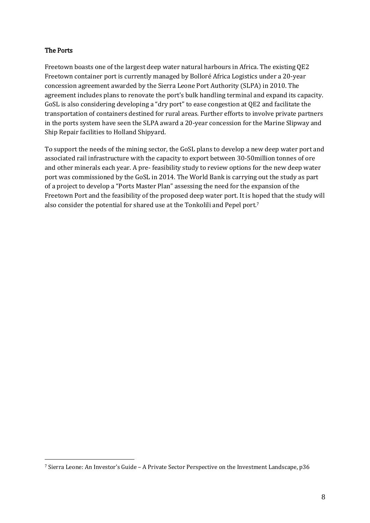## The Ports

 $\overline{a}$ 

Freetown boasts one of the largest deep water natural harbours in Africa. The existing QE2 Freetown container port is currently managed by Bolloré Africa Logistics under a 20-year concession agreement awarded by the Sierra Leone Port Authority (SLPA) in 2010. The agreement includes plans to renovate the port's bulk handling terminal and expand its capacity. GoSL is also considering developing a "dry port" to ease congestion at QE2 and facilitate the transportation of containers destined for rural areas. Further efforts to involve private partners in the ports system have seen the SLPA award a 20-year concession for the Marine Slipway and Ship Repair facilities to Holland Shipyard.

To support the needs of the mining sector, the GoSL plans to develop a new deep water port and associated rail infrastructure with the capacity to export between 30-50million tonnes of ore and other minerals each year. A pre- feasibility study to review options for the new deep water port was commissioned by the GoSL in 2014. The World Bank is carrying out the study as part of a project to develop a "Ports Master Plan" assessing the need for the expansion of the Freetown Port and the feasibility of the proposed deep water port. It is hoped that the study will also consider the potential for shared use at the Tonkolili and Pepel port.7

 $^7$  Sierra Leone: An Investor's Guide – A Private Sector Perspective on the Investment Landscape, p36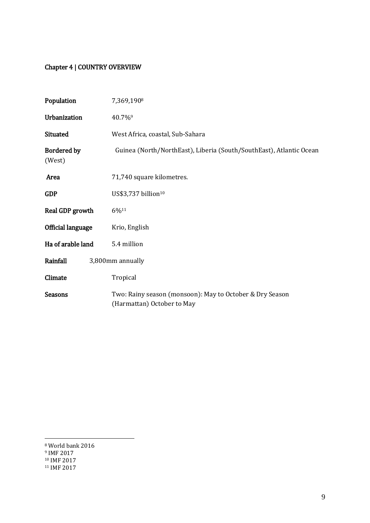# Chapter 4 | COUNTRY OVERVIEW

| Population                   | 7,369,1908                                                                             |  |
|------------------------------|----------------------------------------------------------------------------------------|--|
| Urbanization                 | 40.7%9                                                                                 |  |
| Situated                     | West Africa, coastal, Sub-Sahara                                                       |  |
| <b>Bordered by</b><br>(West) | Guinea (North/NorthEast), Liberia (South/SouthEast), Atlantic Ocean                    |  |
| Area                         | 71,740 square kilometres.                                                              |  |
| <b>GDP</b>                   | US\$3,737 billion <sup>10</sup>                                                        |  |
| Real GDP growth              | 6%11                                                                                   |  |
| <b>Official language</b>     | Krio, English                                                                          |  |
| Ha of arable land            | 5.4 million                                                                            |  |
| Rainfall<br>3,800mm annually |                                                                                        |  |
| Climate                      | Tropical                                                                               |  |
| <b>Seasons</b>               | Two: Rainy season (monsoon): May to October & Dry Season<br>(Harmattan) October to May |  |

<sup>8</sup> World bank 2016

<sup>9</sup> IMF 2017

<sup>&</sup>lt;sup>10</sup> IMF 2017<br><sup>11</sup> IMF 2017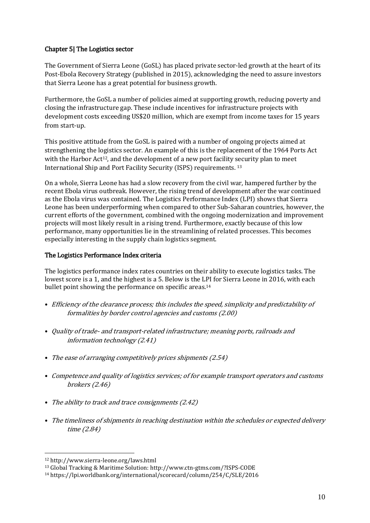#### Chapter 5| The Logistics sector

The Government of Sierra Leone (GoSL) has placed private sector-led growth at the heart of its Post-Ebola Recovery Strategy (published in 2015), acknowledging the need to assure investors that Sierra Leone has a great potential for business growth.

Furthermore, the GoSL a number of policies aimed at supporting growth, reducing poverty and closing the infrastructure gap. These include incentives for infrastructure projects with development costs exceeding US\$20 million, which are exempt from income taxes for 15 years from start-up.

This positive attitude from the GoSL is paired with a number of ongoing projects aimed at strengthening the logistics sector. An example of this is the replacement of the 1964 Ports Act with the Harbor  $Act^{12}$ , and the development of a new port facility security plan to meet International Ship and Port Facility Security (ISPS) requirements. 13

On a whole, Sierra Leone has had a slow recovery from the civil war, hampered further by the recent Ebola virus outbreak. However, the rising trend of development after the war continued as the Ebola virus was contained. The Logistics Performance Index (LPI) shows that Sierra Leone has been underperforming when compared to other Sub-Saharan countries, however, the current efforts of the government, combined with the ongoing modernization and improvement projects will most likely result in a rising trend. Furthermore, exactly because of this low performance, many opportunities lie in the streamlining of related processes. This becomes especially interesting in the supply chain logistics segment.

#### The Logistics Performance Index criteria

The logistics performance index rates countries on their ability to execute logistics tasks. The lowest score is a 1, and the highest is a 5. Below is the LPI for Sierra Leone in 2016, with each bullet point showing the performance on specific areas.14

- Efficiency of the clearance process; this includes the speed, simplicity and predictability of formalities by border control agencies and customs (2.00)
- Quality of trade- and transport-related infrastructure; meaning ports, railroads and information technology (2.41)
- The ease of arranging competitively prices shipments (2.54)
- Competence and quality of logistics services; of for example transport operators and customs brokers (2.46)
- The ability to track and trace consignments (2.42)
- The timeliness of shipments in reaching destination within the schedules or expected delivery time (2.84)

<sup>&</sup>lt;sup>12</sup> http://www.sierra-leone.org/laws.html<br><sup>13</sup> Global Tracking & Maritime Solution: http://www.ctn-gtms.com/?ISPS-CODE<br><sup>14</sup> https://lpi.worldbank.org/international/scorecard/column/254/C/SLE/2016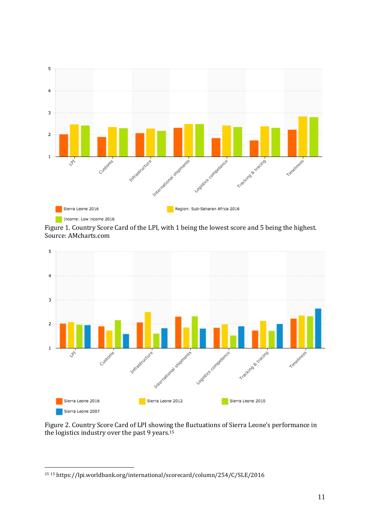

Figure 1. Country Score Card of the LPI, with 1 being the lowest score and 5 being the highest. Source: AMcharts.com



Figure 2. Country Score Card of LPI showing the fluctuations of Sierra Leone's performance in the logistics industry over the past 9 years.15

 $\overline{a}$ 15 15 https://lpi.worldbank.org/international/scorecard/column/254/C/SLE/2016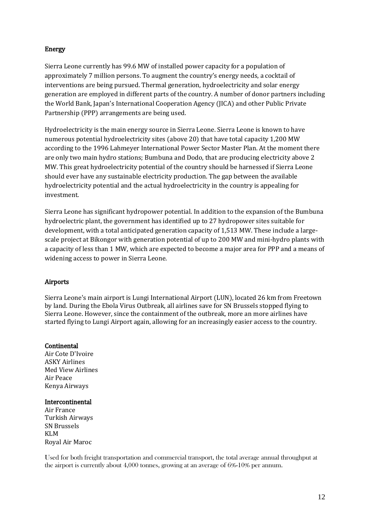# Energy

Sierra Leone currently has 99.6 MW of installed power capacity for a population of approximately 7 million persons. To augment the country's energy needs, a cocktail of interventions are being pursued. Thermal generation, hydroelectricity and solar energy generation are employed in different parts of the country. A number of donor partners including the World Bank, Japan's International Cooperation Agency (JICA) and other Public Private Partnership (PPP) arrangements are being used.

Hydroelectricity is the main energy source in Sierra Leone. Sierra Leone is known to have numerous potential hydroelectricity sites (above 20) that have total capacity 1,200 MW according to the 1996 Lahmeyer International Power Sector Master Plan. At the moment there are only two main hydro stations; Bumbuna and Dodo, that are producing electricity above 2 MW. This great hydroelectricity potential of the country should be harnessed if Sierra Leone should ever have any sustainable electricity production. The gap between the available hydroelectricity potential and the actual hydroelectricity in the country is appealing for investment.

Sierra Leone has significant hydropower potential. In addition to the expansion of the Bumbuna hydroelectric plant, the government has identified up to 27 hydropower sites suitable for development, with a total anticipated generation capacity of 1,513 MW. These include a largescale project at Bikongor with generation potential of up to 200 MW and mini-hydro plants with a capacity of less than 1 MW, which are expected to become a major area for PPP and a means of widening access to power in Sierra Leone.

#### Airports

Sierra Leone's main airport is Lungi International Airport (LUN), located 26 km from Freetown by land. During the Ebola Virus Outbreak, all airlines save for SN Brussels stopped flying to Sierra Leone. However, since the containment of the outbreak, more an more airlines have started flying to Lungi Airport again, allowing for an increasingly easier access to the country.

#### **Continental**

Air Cote D'Ivoire ASKY Airlines Med View Airlines Air Peace Kenya Airways

#### **Intercontinental**

Air France Turkish Airways SN Brussels KLM Royal Air Maroc

Used for both freight transportation and commercial transport, the total average annual throughput at the airport is currently about 4,000 tonnes, growing at an average of 6%-10% per annum.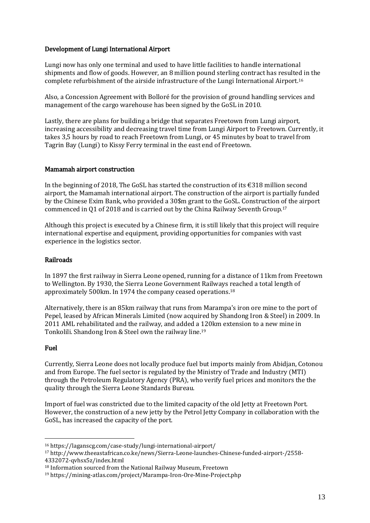#### Development of Lungi International Airport

Lungi now has only one terminal and used to have little facilities to handle international shipments and flow of goods. However, an 8 million pound sterling contract has resulted in the complete refurbishment of the airside infrastructure of the Lungi International Airport.16

Also, a Concession Agreement with Bolloré for the provision of ground handling services and management of the cargo warehouse has been signed by the GoSL in 2010.

Lastly, there are plans for building a bridge that separates Freetown from Lungi airport, increasing accessibility and decreasing travel time from Lungi Airport to Freetown. Currently, it takes 3,5 hours by road to reach Freetown from Lungi, or 45 minutes by boat to travel from Tagrin Bay (Lungi) to Kissy Ferry terminal in the east end of Freetown.

#### Mamamah airport construction

In the beginning of 2018, The GoSL has started the construction of its  $\epsilon$ 318 million second airport, the Mamamah international airport. The construction of the airport is partially funded by the Chinese Exim Bank, who provided a 30\$m grant to the GoSL. Construction of the airport commenced in Q1 of 2018 and is carried out by the China Railway Seventh Group.17

Although this project is executed by a Chinese firm, it is still likely that this project will require international expertise and equipment, providing opportunities for companies with vast experience in the logistics sector.

#### Railroads

In 1897 the first railway in Sierra Leone opened, running for a distance of 11km from Freetown to Wellington. By 1930, the Sierra Leone Government Railways reached a total length of approximately 500km. In 1974 the company ceased operations.18

Alternatively, there is an 85km railway that runs from Marampa's iron ore mine to the port of Pepel, leased by African Minerals Limited (now acquired by Shandong Iron & Steel) in 2009. In 2011 AML rehabilitated and the railway, and added a 120km extension to a new mine in Tonkolili. Shandong Iron & Steel own the railway line. 19

#### Fuel

 $\overline{a}$ 

Currently, Sierra Leone does not locally produce fuel but imports mainly from Abidjan, Cotonou and from Europe. The fuel sector is regulated by the Ministry of Trade and Industry (MTI) through the Petroleum Regulatory Agency (PRA), who verify fuel prices and monitors the the quality through the Sierra Leone Standards Bureau.

Import of fuel was constricted due to the limited capacity of the old Jetty at Freetown Port. However, the construction of a new jetty by the Petrol Jetty Company in collaboration with the GoSL, has increased the capacity of the port.

<sup>16</sup> https://laganscg.com/case-study/lungi-international-airport/ 17 http://www.theeastafrican.co.ke/news/Sierra-Leone-launches-Chinese-funded-airport-/2558-

<sup>&</sup>lt;sup>18</sup> Information sourced from the National Railway Museum, Freetown

<sup>4332072-</sup>qvhsx5z/index.html<br><sup>18</sup> Information sourced from the National Railway Museum, Freetown<br><sup>19</sup> https://mining-atlas.com/project/Marampa-Iron-Ore-Mine-Project.php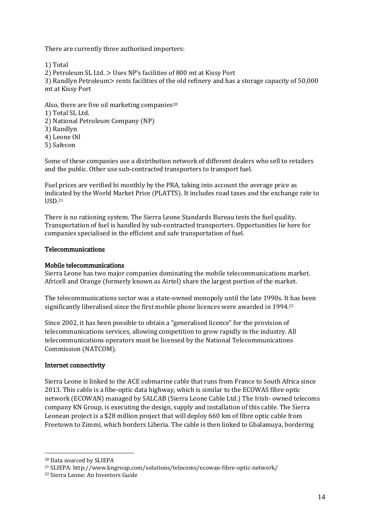There are currently three authorized importers:

1) Total

2) Petroleum SL Ltd. > Uses NP's facilities of 800 mt at Kissy Port

3) Randlyn Petroleum> rents facilities of the old refinery and has a storage capacity of 50,000 mt at Kissy Port

Also, there are five oil marketing companies $20$ 1) Total SL Ltd. 2) National Petroleum Company (NP) 3) Randlyn 4) Leone Oil 5) Safecon

Some of these companies use a distribution network of different dealers who sell to retailers and the public. Other use sub-contracted transporters to transport fuel.

Fuel prices are verified bi monthly by the PRA, taking into account the average price as indicated by the World Market Price (PLATTS). It includes road taxes and the exchange rate to USD.21

There is no rationing system. The Sierra Leone Standards Bureau tests the fuel quality. Transportation of fuel is handled by sub-contracted transporters. Opportunities lie here for companies specialised in the efficient and safe transportation of fuel.

#### Telecommunications

#### Mobile telecommunications

Sierra Leone has two major companies dominating the mobile telecommunications market. Africell and Orange (formerly known as Airtel) share the largest portion of the market.

The telecommunications sector was a state-owned monopoly until the late 1990s. It has been significantly liberalised since the first mobile phone licences were awarded in 1994.22

Since 2002, it has been possible to obtain a "generalised licence" for the provision of telecommunications services, allowing competition to grow rapidly in the industry. All telecommunications operators must be licensed by the National Telecommunications Commission (NATCOM).

#### Internet connectivity

 2013. This cable is a fibe-optic data highway, which is similar to the ECOWAS fibre optic Sierra Leone is linked to the ACE submarine cable that runs from France to South Africa since network (ECOWAN) managed by SALCAB (Sierra Leone Cable Ltd.) The Irish- owned telecoms company KN Group, is executing the design, supply and installation of this cable. The Sierra Leonean project is a \$28 million project that will deploy 660 km of fibre optic cable from Freetown to Zimmi, which borders Liberia. The cable is then linked to Gbalamuya, bordering

<sup>&</sup>lt;sup>20</sup> Data sourced by SLIEPA<br><sup>21</sup> SLIEPA: http://www.kngroup.com/solutions/telecoms/ecowan-fibre-optic-network/

<sup>&</sup>lt;sup>22</sup> Sierra Leone: An Investors Guide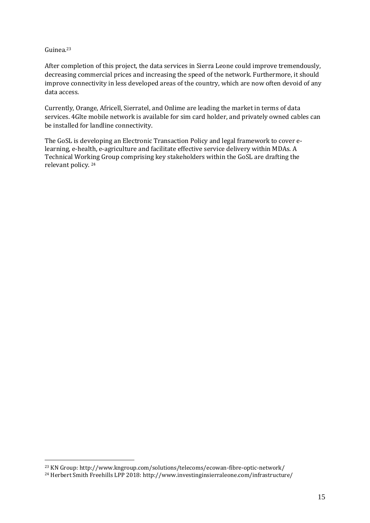#### Guinea.23

 $\overline{a}$ 

After completion of this project, the data services in Sierra Leone could improve tremendously, decreasing commercial prices and increasing the speed of the network. Furthermore, it should improve connectivity in less developed areas of the country, which are now often devoid of any data access.

Currently, Orange, Africell, Sierratel, and Onlime are leading the market in terms of data services. 4Glte mobile network is available for sim card holder, and privately owned cables can be installed for landline connectivity.

The GoSL is developing an Electronic Transaction Policy and legal framework to cover elearning, e-health, e-agriculture and facilitate effective service delivery within MDAs. A Technical Working Group comprising key stakeholders within the GoSL are drafting the relevant policy. 24

<sup>&</sup>lt;sup>23</sup> KN Group: http://www.kngroup.com/solutions/telecoms/ecowan-fibre-optic-network/<br><sup>24</sup> Herbert Smith Freehills LPP 2018: http://www.investinginsierraleone.com/infrastructure/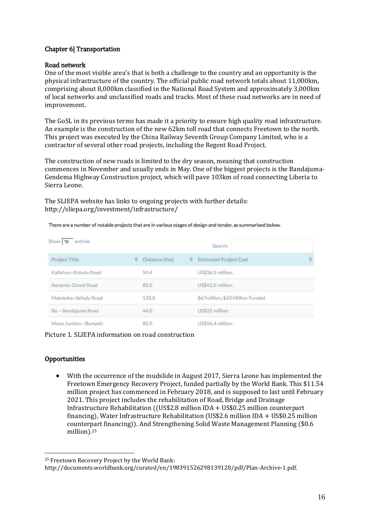### Chapter 6| Transportation

#### Road network

One of the most visible area's that is both a challenge to the country and an opportunity is the physical infrastructure of the country. The official public road network totals about 11,000km, comprising about 8,000km classified in the National Road System and approximately 3,000km of local networks and unclassified roads and tracks. Most of these road networks are in need of improvement.

The GoSL in its previous terms has made it a priority to ensure high quality road infrastructure. An example is the construction of the new 62km toll road that connects Freetown to the north. This project was executed by the China Railway Seventh Group Company Limited, who is a contractor of several other road projects, including the Regent Road Project.

The construction of new roads is limited to the dry season, meaning that construction commences in November and usually ends in May. One of the biggest projects is the Bandajuma-Gendema Highway Construction project, which will pave 103km of road connecting Liberia to Sierra Leone.

The SLIEPA website has links to ongoing projects with further details: http://sliepa.org/investment/infrastructure/

| Show 10 entries       |                    | Search:                            |   |
|-----------------------|--------------------|------------------------------------|---|
| Project Title         | Distance (Km)<br>≎ | <b>Estimated Project Cost</b><br>÷ | ÷ |
| Kailahun-Koindu Road  | 54.4               | US\$36.5 million.                  |   |
| Kenema-Zimmi Road     | 85.0               | US\$42.5 million.                  |   |
| Matotoka-Sefadu Road  | 120.0              | \$67million; \$43 Million Funded   |   |
| Bo - Bandajuma Road   | 44.0               | US\$22 million.                    |   |
| Mano Juntion - Bumpeh | 85.0               | US\$56.4 million.                  |   |

There are a number of notable projects that are in various stages of design and tender, as summarised below.

Picture 1. SLIEPA information on road construction

#### **Opportunities**

 $\overline{a}$ 

 With the occurrence of the mudslide in August 2017, Sierra Leone has implemented the Freetown Emergency Recovery Project, funded partially by the World Bank. This \$11.54 million project has commenced in February 2018, and is supposed to last until February 2021. This project includes the rehabilitation of Road, Bridge and Drainage Infrastructure Rehabilitation ((US\$2.8 million IDA + US\$0.25 million counterpart financing), Water Infrastructure Rehabilitation (US\$2.6 million IDA + US\$0.25 million counterpart financing)). And Strengthening Solid Waste Management Planning (\$0.6 million).25

 25 Freetown Recovery Project by the World Bank:

http://documents.worldbank.org/curated/en/198391526298139128/pdf/Plan-Archive-1.pdf.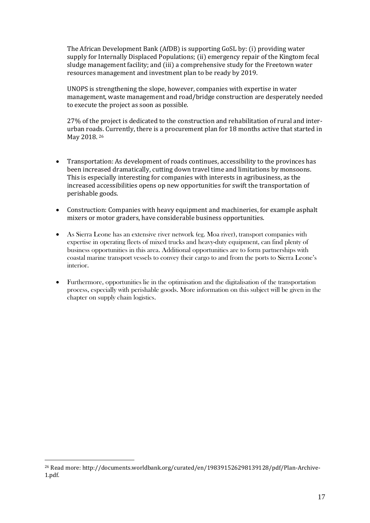The African Development Bank (AfDB) is supporting GoSL by: (i) providing water supply for Internally Displaced Populations; (ii) emergency repair of the Kingtom fecal sludge management facility; and (iii) a comprehensive study for the Freetown water resources management and investment plan to be ready by 2019.

UNOPS is strengthening the slope, however, companies with expertise in water management, waste management and road/bridge construction are desperately needed to execute the project as soon as possible.

27% of the project is dedicated to the construction and rehabilitation of rural and interurban roads. Currently, there is a procurement plan for 18 months active that started in May 2018. 26

- Transportation: As development of roads continues, accessibility to the provinces has been increased dramatically, cutting down travel time and limitations by monsoons. This is especially interesting for companies with interests in agribusiness, as the increased accessibilities opens op new opportunities for swift the transportation of perishable goods.
- Construction: Companies with heavy equipment and machineries, for example asphalt mixers or motor graders, have considerable business opportunities.
- coastal marine transport vessels to convey their cargo to and from the ports to Sierra Leone's As Sierra Leone has an extensive river network (eg. Moa river), transport companies with expertise in operating fleets of mixed trucks and heavy-duty equipment, can find plenty of business opportunities in this area. Additional opportunities are to form partnerships with interior.
- Furthermore, opportunities lie in the optimisation and the digitalisation of the transportation process, especially with perishable goods. More information on this subject will be given in the chapter on supply chain logistics.

<sup>26</sup> Read more: http://documents.worldbank.org/curated/en/198391526298139128/pdf/Plan-Archive-1.pdf.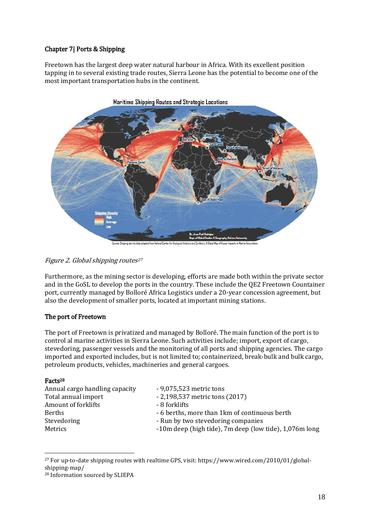# Chapter 7| Ports & Shipping

Freetown has the largest deep water natural harbour in Africa. With its excellent position tapping in to several existing trade routes, Sierra Leone has the potential to become one of the most important transportation hubs in the continent.



density data adapted from Natonal Center for Ecological Analysis a

#### Figure 2. Global shipping routes<sup>27</sup>

Furthermore, as the mining sector is developing, efforts are made both within the private sector and in the GoSL to develop the ports in the country. These include the QE2 Freetown Countainer port, currently managed by Bolloré Africa Logistics under a 20-year concession agreement, but also the development of smaller ports, located at important mining stations.

#### The port of Freetown

 The port of Freetown is privatized and managed by Bolloré. The main function of the port is to control al marine activities in Sierra Leone. Such activities include; import, export of cargo, stevedoring, passenger vessels and the monitoring of all ports and shipping agencies. The cargo imported and exported includes, but is not limited to; containerized, break-bulk and bulk cargo, petroleum products, vehicles, machineries and general cargoes.

#### Facts28

| Annual cargo handling capacity | - 9,075,523 metric tons                                |
|--------------------------------|--------------------------------------------------------|
| Total annual import            | $-2,198,537$ metric tons (2017)                        |
| Amount of forklifts            | - 8 forklifts                                          |
| <b>Berths</b>                  | - 6 berths, more than 1 km of continuous berth         |
| Stevedoring                    | - Run by two stevedoring companies                     |
| Metrics                        | -10m deep (high tide), 7m deep (low tide), 1,076m long |
|                                |                                                        |

shipping-map/<br><sup>28</sup> Information sourced by SLIEPA 27 For up-to-date shipping routes with realtime GPS, visit: https://www.wired.com/2010/01/global-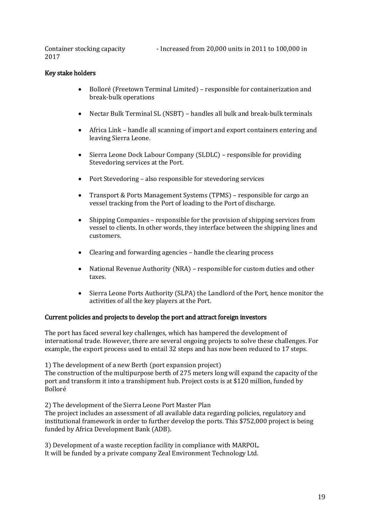Container stocking capacity - Increased from 20,000 units in 2011 to 100,000 in 2017

# Key stake holders

- Bolloré (Freetown Terminal Limited) responsible for containerization and break-bulk operations
- Nectar Bulk Terminal SL (NSBT) handles all bulk and break-bulk terminals
- Africa Link handle all scanning of import and export containers entering and leaving Sierra Leone.
- Sierra Leone Dock Labour Company (SLDLC) responsible for providing Stevedoring services at the Port.
- Port Stevedoring also responsible for stevedoring services
- Transport & Ports Management Systems (TPMS) responsible for cargo an vessel tracking from the Port of loading to the Port of discharge.
- Shipping Companies responsible for the provision of shipping services from vessel to clients. In other words, they interface between the shipping lines and customers.
- Clearing and forwarding agencies handle the clearing process
- National Revenue Authority (NRA) responsible for custom duties and other taxes.
- Sierra Leone Ports Authority (SLPA) the Landlord of the Port, hence monitor the activities of all the key players at the Port.

#### Current policies and projects to develop the port and attract foreign investors

The port has faced several key challenges, which has hampered the development of international trade. However, there are several ongoing projects to solve these challenges. For example, the export process used to entail 32 steps and has now been reduced to 17 steps.

1) The development of a new Berth (port expansion project)

The construction of the multipurpose berth of 275 meters long will expand the capacity of the port and transform it into a transhipment hub. Project costs is at \$120 million, funded by Bolloré

2) The development of the Sierra Leone Port Master Plan

The project includes an assessment of all available data regarding policies, regulatory and institutional framework in order to further develop the ports. This \$752,000 project is being funded by Africa Development Bank (ADB).

3) Development of a waste reception facility in compliance with MARPOL. It will be funded by a private company Zeal Environment Technology Ltd.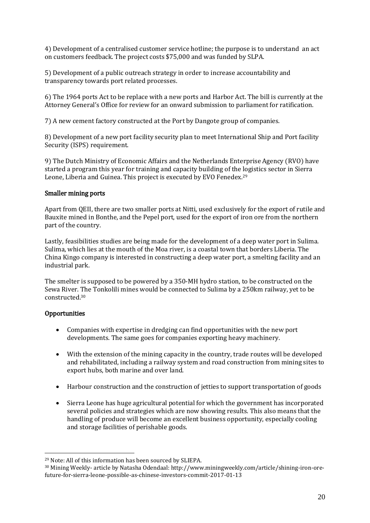4) Development of a centralised customer service hotline; the purpose is to understand an act on customers feedback. The project costs \$75,000 and was funded by SLPA.

5) Development of a public outreach strategy in order to increase accountability and transparency towards port related processes.

6) The 1964 ports Act to be replace with a new ports and Harbor Act. The bill is currently at the Attorney General's Office for review for an onward submission to parliament for ratification.

7) A new cement factory constructed at the Port by Dangote group of companies.

8) Development of a new port facility security plan to meet International Ship and Port facility Security (ISPS) requirement.

9) The Dutch Ministry of Economic Affairs and the Netherlands Enterprise Agency (RVO) have started a program this year for training and capacity building of the logistics sector in Sierra Leone, Liberia and Guinea. This project is executed by EVO Fenedex.29

#### Smaller mining ports

Apart from QEII, there are two smaller ports at Nitti, used exclusively for the export of rutile and Bauxite mined in Bonthe, and the Pepel port, used for the export of iron ore from the northern part of the country.

Lastly, feasibilities studies are being made for the development of a deep water port in Sulima. Sulima, which lies at the mouth of the Moa river, is a coastal town that borders Liberia. The China Kingo company is interested in constructing a deep water port, a smelting facility and an industrial park.

 The smelter is supposed to be powered by a 350-MH hydro station, to be constructed on the Sewa River. The Tonkolili mines would be connected to Sulima by a 250km railway, yet to be constructed.30

#### **Opportunities**

- Companies with expertise in dredging can find opportunities with the new port developments. The same goes for companies exporting heavy machinery.
- With the extension of the mining capacity in the country, trade routes will be developed and rehabilitated, including a railway system and road construction from mining sites to export hubs, both marine and over land.
- Harbour construction and the construction of jetties to support transportation of goods
- Sierra Leone has huge agricultural potential for which the government has incorporated several policies and strategies which are now showing results. This also means that the handling of produce will become an excellent business opportunity, especially cooling and storage facilities of perishable goods.

<sup>&</sup>lt;sup>29</sup> Note: All of this information has been sourced by SLIEPA.

<sup>&</sup>lt;sup>29</sup> Note: All of this information has been sourced by SLIEPA.<br><sup>30</sup> Mining Weekly- article by Natasha Odendaal: http://www.miningweekly.com/article/shining-iron-orefuture-for-sierra-leone-possible-as-chinese-investors-commit-2017-01-13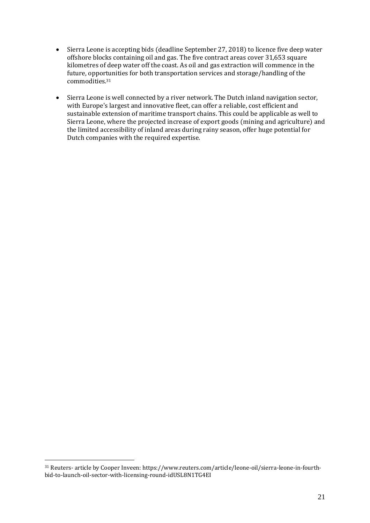- kilometres of deep water off the coast. As oil and gas extraction will commence in the Sierra Leone is accepting bids (deadline September 27, 2018) to licence five deep water offshore blocks containing oil and gas. The five contract areas cover 31,653 square future, opportunities for both transportation services and storage/handling of the commodities.31
- Sierra Leone is well connected by a river network. The Dutch inland navigation sector, with Europe's largest and innovative fleet, can offer a reliable, cost efficient and sustainable extension of maritime transport chains. This could be applicable as well to Sierra Leone, where the projected increase of export goods (mining and agriculture) and the limited accessibility of inland areas during rainy season, offer huge potential for Dutch companies with the required expertise.

 $\rm{^{31}}$  Reuters- article by Cooper Inveen: https://www.reuters.com/article/leone-oil/sierra-leone-in-fourthbid-to-launch-oil-sector-with-licensing-round-idUSL8N1TG4EI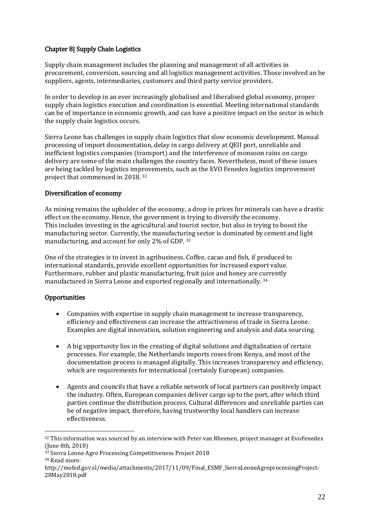# Chapter 8| Supply Chain Logistics

Supply chain management includes the planning and management of all activities in procurement, conversion, sourcing and all logistics management activities. Those involved an be suppliers, agents, intermediaries, customers and third party service providers.

In order to develop in an ever increasingly globalised and liberalised global economy, proper supply chain logistics execution and coordination is essential. Meeting international standards can be of importance in economic growth, and can have a positive impact on the sector in which the supply chain logistics occurs.

Sierra Leone has challenges in supply chain logistics that slow economic development. Manual processing of import documentation, delay in cargo delivery at QEII port, unreliable and inefficient logistics companies (transport) and the interference of monsoon rains on cargo delivery are some of the main challenges the country faces. Nevertheless, most of these issues are being tackled by logistics improvements, such as the EVO Fenedex logistics improvement project that commenced in 2018. 32

#### Diversification of economy

 This includes investing in the agricultural and tourist sector, but also in trying to boost the As mining remains the upholder of the economy, a drop in prices for minerals can have a drastic effect on the economy. Hence, the government is trying to diversify the economy. manufacturing sector. Currently, the manufacturing sector is dominated by cement and light manufacturing, and account for only 2% of GDP. 33

One of the strategies is to invest in agribusiness. Coffee, cacao and fish, if produced to international standards, provide excellent opportunities for increased export value. Furthermore, rubber and plastic manufacturing, fruit juice and honey are currently manufactured in Sierra Leone and exported regionally and internationally. 34

# **Opportunities**

- Companies with expertise in supply chain management to increase transparency, efficiency and effectiveness can increase the attractiveness of trade in Sierra Leone. Examples are digital innovation, solution engineering and analysis and data sourcing.
- A big opportunity lies in the creating of digital solutions and digitalisation of certain processes. For example, the Netherlands imports roses from Kenya, and most of the documentation process is managed digitally. This increases transparency and efficiency, which are requirements for international (certainly European) companies.
- Agents and councils that have a reliable network of local partners can positively impact the industry. Often, European companies deliver cargo up to the port, after which third parties continue the distribution process. Cultural differences and unreliable parties can be of negative impact, therefore, having trustworthy local handlers can increase effectiveness.

 $^{32}$  This information was sourced by an interview with Peter van Rheenen, project manager at EvoFenedex (June 8th, 2018)

<sup>&</sup>lt;sup>33</sup> Sierra Leone Agro Processing Competitiveness Project 2018<br><sup>34</sup> Read more:

http://mofed.gov.sl/media/attachments/2017/11/09/Final\_ESMF\_SierraLeoneAgroprocessingProject-28May2018.pdf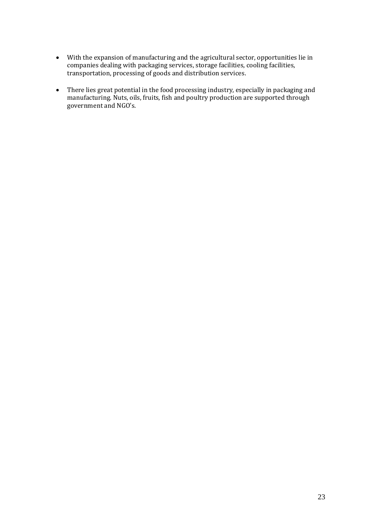- With the expansion of manufacturing and the agricultural sector, opportunities lie in companies dealing with packaging services, storage facilities, cooling facilities, transportation, processing of goods and distribution services.
- There lies great potential in the food processing industry, especially in packaging and manufacturing. Nuts, oils, fruits, fish and poultry production are supported through government and NGO's.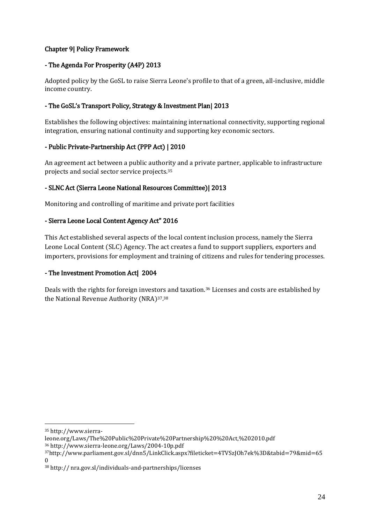# Chapter 9| Policy Framework

# - The Agenda For Prosperity (A4P) 2013

Adopted policy by the GoSL to raise Sierra Leone's profile to that of a green, all-inclusive, middle income country.

# - The GoSL's Transport Policy, Strategy & Investment Plan| 2013

Establishes the following objectives: maintaining international connectivity, supporting regional integration, ensuring national continuity and supporting key economic sectors.

# - Public Private-Partnership Act (PPP Act) | 2010

An agreement act between a public authority and a private partner, applicable to infrastructure projects and social sector service projects.35

# - SLNC Act (Sierra Leone National Resources Committee)| 2013

Monitoring and controlling of maritime and private port facilities

# - Sierra Leone Local Content Agency Act" 2016

This Act established several aspects of the local content inclusion process, namely the Sierra Leone Local Content (SLC) Agency. The act creates a fund to support suppliers, exporters and importers, provisions for employment and training of citizens and rules for tendering processes.

# - The Investment Promotion Act| 2004

Deals with the rights for foreign investors and taxation.36 Licenses and costs are established by the National Revenue Authority (NRA)37. 38

<sup>35</sup> http://www.sierra-

leone.org/Laws/The%20Public%20Private%20Partnership%20%20Act,%202010.pdf

 $37$ http://www.parliament.gov.sl/dnn5/LinkClick.aspx?fileticket=4TVSzJOh7ek%3D&tabid=79&mid=65  $\Omega$ 

<sup>38</sup> http:// nra.gov.sl/individuals-and-partnerships/licenses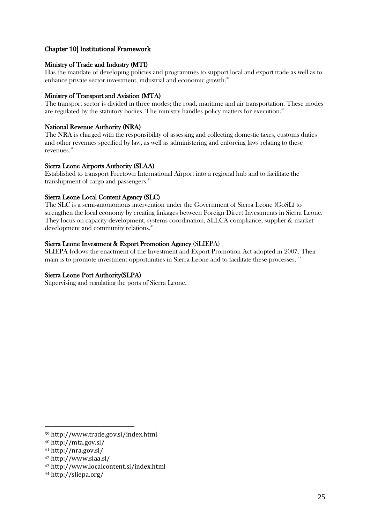### Chapter 10| Institutional Framework

#### Ministry of Trade and Industry (MTI)

Has the mandate of developing policies and programmes to support local and export trade as well as to enhance private sector investment, industrial and economic growth.<sup>39</sup>

#### Ministry of Transport and Aviation (MTA)

The transport sector is divided in three modes; the road, maritime and air transportation. These modes are regulated by the statutory bodies. The ministry handles policy matters for execution.<sup>40</sup>

#### National Revenue Authority (NRA)

and other revenues specified by law, as well as administering and enforcing laws relating to these  $\frac{41}{100}$ The NRA is charged with the responsibility of assessing and collecting domestic taxes, customs duties revenues.

#### Sierra Leone Airports Authority (SLAA)

Established to transport Freetown International Airport into a regional hub and to facilitate the transhipment of cargo and passengers.<sup>42</sup>

#### Sierra Leone Local Content Agency (SLC)

The SLC is a semi-autonomous intervention under the Government of Sierra Leone (GoSL) to strengthen the local economy by creating linkages between Foreign Direct Investments in Sierra Leone. They focus on capacity development, systems coordination, SLLCA compliance, supplier & market development and community relations.<sup>43</sup>

#### Sierra Leone Investment & Export Promotion Agency (SLIEPA)

SLIEPA follows the enactment of the Investment and Export Promotion Act adopted in 2007. Their main is to promote investment opportunities in Sierra Leone and to facilitate these processes. <sup>44</sup>

#### Sierra Leone Port Authority(SLPA)

Supervising and regulating the ports of Sierra Leone.

<sup>39</sup> http://www.trade.gov.sl/index.html

<sup>40</sup> http://mta.gov.sl/

<sup>41</sup> http://nra.gov.sl/

<sup>42</sup> http://www.slaa.sl/

<sup>43</sup> http://www.localcontent.sl/index.html

<sup>44</sup> http://sliepa.org/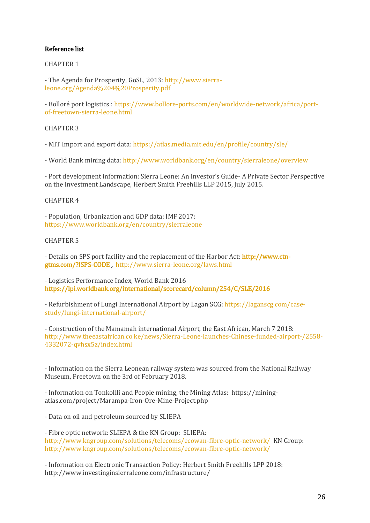#### Reference list

CHAPTER 1

- The Agenda for Prosperity, GoSL, 2013: [http://www.sierra](http://www.sierra-leone.org/Agenda%204%20Prosperity.pdf)[leone.org/Agenda%204%20Prosperity.pdf](http://www.sierra-leone.org/Agenda%204%20Prosperity.pdf) 

- Bolloré port logistics [: https://www.bollore-ports.com/en/worldwide-network/africa/port](https://www.bollore-ports.com/en/worldwide-network/africa/port-of-freetown-sierra-leone.html)[of-freetown-sierra-leone.html](https://www.bollore-ports.com/en/worldwide-network/africa/port-of-freetown-sierra-leone.html) 

CHAPTER 3

- MIT Import and export data:<https://atlas.media.mit.edu/en/profile/country/sle/>

- World Bank mining data:<http://www.worldbank.org/en/country/sierraleone/overview>

- Port development information: Sierra Leone: An Investor's Guide- A Private Sector Perspective on the Investment Landscape, Herbert Smith Freehills LLP 2015, July 2015.

#### CHAPTER 4

- Population, Urbanization and GDP data: IMF 2017: <https://www.worldbank.org/en/country/sierraleone>

#### CHAPTER 5

- Details on SPS port facility and the replacement of the Harbor Act: [http://www.ctn](http://www.ctn-gtms.com/?ISPS-CODE)[gtms.com/?ISPS-CODE](http://www.ctn-gtms.com/?ISPS-CODE) , <http://www.sierra-leone.org/laws.html>

- Logistics Performance Index, World Bank 2016 <https://lpi.worldbank.org/international/scorecard/column/254/C/SLE/2016>

- Refurbishment of Lungi International Airport by Lagan SCG[: https://laganscg.com/case](https://laganscg.com/case-study/lungi-international-airport/)[study/lungi-international-airport/](https://laganscg.com/case-study/lungi-international-airport/) 

- Construction of the Mamamah international Airport, the East African, March 7 2018: [http://www.theeastafrican.co.ke/news/Sierra-Leone-launches-Chinese-funded-airport-/2558-](http://www.theeastafrican.co.ke/news/Sierra-Leone-launches-Chinese-funded-airport-/2558-4332072-qvhsx5z/index.html) [4332072-qvhsx5z/index.html](http://www.theeastafrican.co.ke/news/Sierra-Leone-launches-Chinese-funded-airport-/2558-4332072-qvhsx5z/index.html) 

- Information on the Sierra Leonean railway system was sourced from the National Railway Museum, Freetown on the 3rd of February 2018.

 - Information on Tonkolili and People mining, the Mining Atlas: https://miningatlas.com/project/Marampa-Iron-Ore-Mine-Project.php

- Data on oil and petroleum sourced by SLIEPA

 <http://www.kngroup.com/solutions/telecoms/ecowan-fibre-optic-network/>KN Group: - Fibre optic network: SLIEPA & the KN Group: SLIEPA: <http://www.kngroup.com/solutions/telecoms/ecowan-fibre-optic-network/>

- Information on Electronic Transaction Policy: Herbert Smith Freehills LPP 2018: http://www.investinginsierraleone.com/infrastructure/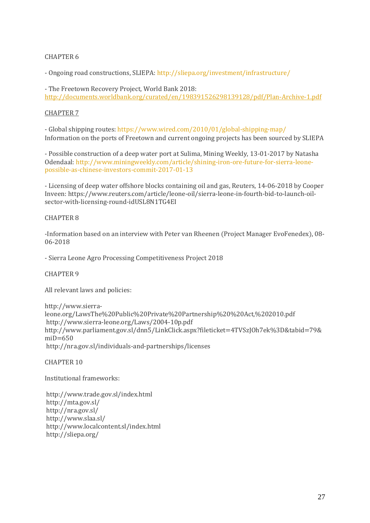#### CHAPTER 6

- Ongoing road constructions, SLIEPA[: http://sliepa.org/investment/infrastructure/](http://sliepa.org/investment/infrastructure/) 

- The Freetown Recovery Project, World Bank 2018: <http://documents.worldbank.org/curated/en/198391526298139128/pdf/Plan-Archive-1.pdf>

#### CHAPTER 7

- Global shipping routes:<https://www.wired.com/2010/01/global-shipping-map/> Information on the ports of Freetown and current ongoing projects has been sourced by SLIEPA

- Possible construction of a deep water port at Sulima, Mining Weekly, 13-01-2017 by Natasha Odendaal: [http://www.miningweekly.com/article/shining-iron-ore-future-for-sierra-leone](http://www.miningweekly.com/article/shining-iron-ore-future-for-sierra-leone-possible-as-chinese-investors-commit-2017-01-13)[possible-as-chinese-investors-commit-2017-01-13](http://www.miningweekly.com/article/shining-iron-ore-future-for-sierra-leone-possible-as-chinese-investors-commit-2017-01-13) 

- Licensing of deep water offshore blocks containing oil and gas, Reuters, 14-06-2018 by Cooper Inveen: https://www.reuters.com/article/leone-oil/sierra-leone-in-fourth-bid-to-launch-oilsector-with-licensing-round-idUSL8N1TG4EI

#### CHAPTER 8

-Information based on an interview with Peter van Rheenen (Project Manager EvoFenedex), 08- 06-2018

- Sierra Leone Agro Processing Competitiveness Project 2018

CHAPTER 9

All relevant laws and policies:

http://www.sierraleone.org/LawsThe%20Public%20Private%20Partnership%20%20Act,%202010.pdf http://www.sierra-leone.org/Laws/2004-10p.pdf http://www.parliament.gov.sl/dnn5/LinkClick.aspx?fileticket=4TVSzJOh7ek%3D&tabid=79&  $miD=650$ http://nra.gov.sl/individuals-and-partnerships/licenses

CHAPTER 10

Institutional frameworks:

http://www.trade.gov.sl/index.html http://mta.gov.sl/ http://nra.gov.sl/ http://www.slaa.sl/ http://www.localcontent.sl/index.html http://sliepa.org/